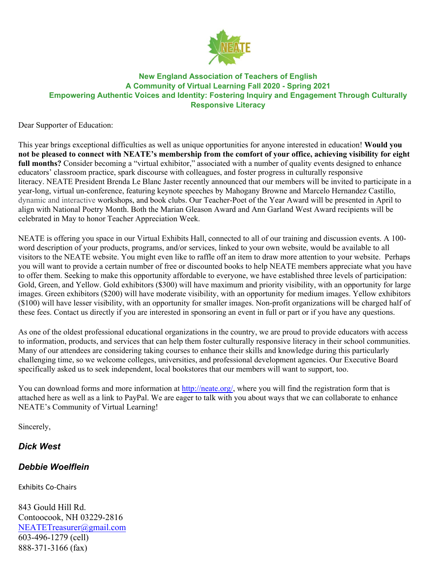

### **New England Association of Teachers of English A Community of Virtual Learning Fall 2020 - Spring 2021 Empowering Authentic Voices and Identity: Fostering Inquiry and Engagement Through Culturally Responsive Literacy**

Dear Supporter of Education:

This year brings exceptional difficulties as well as unique opportunities for anyone interested in education! **Would you not be pleased to connect with NEATE's membership from the comfort of your office, achieving visibility for eight**  full months? Consider becoming a "virtual exhibitor," associated with a number of quality events designed to enhance educators' classroom practice, spark discourse with colleagues, and foster progress in culturally responsive literacy. NEATE President Brenda Le Blanc Jaster recently announced that our members will be invited to participate in a year-long, virtual un-conference, featuring keynote speeches by Mahogany Browne and Marcelo Hernandez Castillo, dynamic and interactive workshops, and book clubs. Our Teacher-Poet of the Year Award will be presented in April to align with National Poetry Month. Both the Marian Gleason Award and Ann Garland West Award recipients will be celebrated in May to honor Teacher Appreciation Week.

NEATE is offering you space in our Virtual Exhibits Hall, connected to all of our training and discussion events. A 100 word description of your products, programs, and/or services, linked to your own website, would be available to all visitors to the NEATE website. You might even like to raffle off an item to draw more attention to your website. Perhaps you will want to provide a certain number of free or discounted books to help NEATE members appreciate what you have to offer them. Seeking to make this opportunity affordable to everyone, we have established three levels of participation: Gold, Green, and Yellow. Gold exhibitors (\$300) will have maximum and priority visibility, with an opportunity for large images. Green exhibitors (\$200) will have moderate visibility, with an opportunity for medium images. Yellow exhibitors (\$100) will have lesser visibility, with an opportunity for smaller images. Non-profit organizations will be charged half of these fees. Contact us directly if you are interested in sponsoring an event in full or part or if you have any questions.

As one of the oldest professional educational organizations in the country, we are proud to provide educators with access to information, products, and services that can help them foster culturally responsive literacy in their school communities. Many of our attendees are considering taking courses to enhance their skills and knowledge during this particularly challenging time, so we welcome colleges, universities, and professional development agencies. Our Executive Board specifically asked us to seek independent, local bookstores that our members will want to support, too.

You can download forms and more information at http://neate.org/, where you will find the registration form that is attached here as well as a link to PayPal. We are eager to talk with you about ways that we can collaborate to enhance NEATE's Community of Virtual Learning!

Sincerely,

# *Dick West*

# *Debbie Woelflein*

Exhibits Co-Chairs

843 Gould Hill Rd. Contoocook, NH 03229-2816 NEATETreasurer@gmail.com 603-496-1279 (cell) 888-371-3166 (fax)